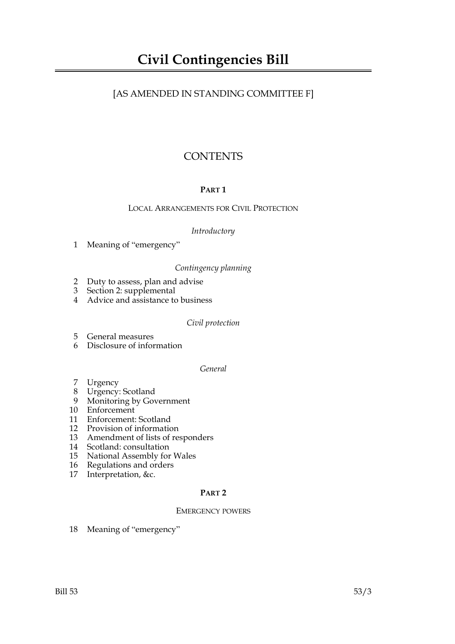# [AS AMENDED IN STANDING COMMITTEE F]

# **CONTENTS**

# **PART 1**

# LOCAL ARRANGEMENTS FOR CIVIL PROTECTION

# *Introductory*

1 Meaning of "emergency"

# *Contingency planning*

- 2 Duty to assess, plan and advise
- 3 Section 2: supplemental
- 4 Advice and assistance to business

#### *Civil protection*

- 5 General measures
- 6 Disclosure of information

#### *General*

- 7 Urgency
- 8 Urgency: Scotland
- 9 Monitoring by Government
- 10 Enforcement
- 11 Enforcement: Scotland
- 12 Provision of information
- 13 Amendment of lists of responders
- 14 Scotland: consultation
- 15 National Assembly for Wales
- 16 Regulations and orders
- 17 Interpretation, &c.

#### **PART 2**

#### EMERGENCY POWERS

18 Meaning of "emergency"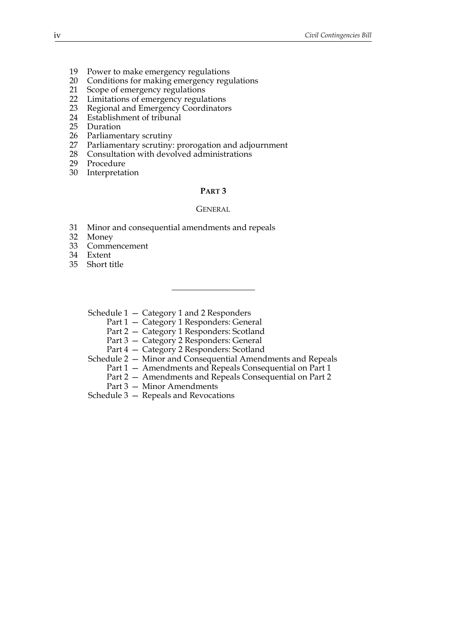- 19 Power to make emergency regulations
- 20 Conditions for making emergency regulations<br>21 Scope of emergency regulations
- Scope of emergency regulations
- 22 Limitations of emergency regulations<br>23 Regional and Emergency Coordinator
- Regional and Emergency Coordinators
- 24 Establishment of tribunal
- 25 Duration
- 26 Parliamentary scrutiny
- 27 Parliamentary scrutiny: prorogation and adjournment
- 28 Consultation with devolved administrations
- 29 Procedure
- 30 Interpretation

#### **PART 3**

#### **GENERAL**

- 31 Minor and consequential amendments and repeals
- 32 Money<br>33 Comme
- **Commencement**
- 34 Extent
- 35 Short title

Schedule 1 — Category 1 and 2 Responders

Part 1 — Category 1 Responders: General

Part 2 — Category 1 Responders: Scotland

Part 3 — Category 2 Responders: General

Part 4 — Category 2 Responders: Scotland

Schedule 2 — Minor and Consequential Amendments and Repeals

- Part 1 Amendments and Repeals Consequential on Part 1
- Part 2 Amendments and Repeals Consequential on Part 2
- Part 3 Minor Amendments
- Schedule 3 Repeals and Revocations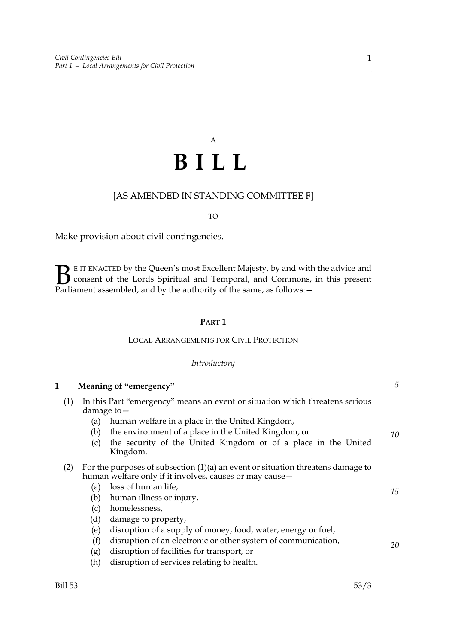# A **BILL**

# [AS AMENDED IN STANDING COMMITTEE F]

TO

Make provision about civil contingencies.

E IT ENACTED by the Queen's most Excellent Majesty, by and with the advice and consent of the Lords Spiritual and Temporal, and Commons, in this present Parliament assembled, and by the authority of the same, as follows: -F

#### **PART 1**

#### LOCAL ARRANGEMENTS FOR CIVIL PROTECTION

#### *Introductory*

| 1 |     |                                 | Meaning of "emergency"                                                                                                                                                                                                                            | 5  |
|---|-----|---------------------------------|---------------------------------------------------------------------------------------------------------------------------------------------------------------------------------------------------------------------------------------------------|----|
|   | (1) | damage to $-$<br>(a)            | In this Part "emergency" means an event or situation which threatens serious<br>human welfare in a place in the United Kingdom,                                                                                                                   |    |
|   |     | (b)<br>(c)                      | the environment of a place in the United Kingdom, or<br>the security of the United Kingdom or of a place in the United<br>Kingdom.                                                                                                                | 10 |
|   | (2) | (a)<br>(b)<br>(c)               | For the purposes of subsection $(1)(a)$ an event or situation threatens damage to<br>human welfare only if it involves, causes or may cause-<br>loss of human life,<br>human illness or injury,<br>homelessness,                                  | 15 |
|   |     | (d)<br>(e)<br>(f)<br>(g)<br>(h) | damage to property,<br>disruption of a supply of money, food, water, energy or fuel,<br>disruption of an electronic or other system of communication,<br>disruption of facilities for transport, or<br>disruption of services relating to health. | 20 |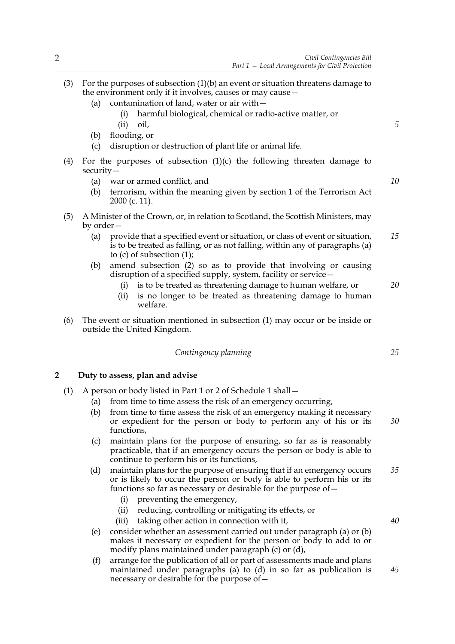- (3) For the purposes of subsection  $(1)(b)$  an event or situation threatens damage to the environment only if it involves, causes or may cause—
	- (a) contamination of land, water or air with—
		- (i) harmful biological, chemical or radio-active matter, or (ii) oil,
	- (b) flooding, or
	- (c) disruption or destruction of plant life or animal life.
- (4) For the purposes of subsection (1)(c) the following threaten damage to security—
	- (a) war or armed conflict, and
	- (b) terrorism, within the meaning given by section 1 of the Terrorism Act 2000 (c. 11).
- (5) A Minister of the Crown, or, in relation to Scotland, the Scottish Ministers, may by order—
	- (a) provide that a specified event or situation, or class of event or situation, is to be treated as falling, or as not falling, within any of paragraphs (a) to (c) of subsection (1); *15*
	- (b) amend subsection (2) so as to provide that involving or causing disruption of a specified supply, system, facility or service
		- is to be treated as threatening damage to human welfare, or
		- (ii) is no longer to be treated as threatening damage to human welfare.
- (6) The event or situation mentioned in subsection (1) may occur or be inside or outside the United Kingdom.

*Contingency planning*

#### **2 Duty to assess, plan and advise**

- (1) A person or body listed in Part 1 or 2 of Schedule 1 shall—
	- (a) from time to time assess the risk of an emergency occurring,
	- (b) from time to time assess the risk of an emergency making it necessary or expedient for the person or body to perform any of his or its functions, *30*
	- (c) maintain plans for the purpose of ensuring, so far as is reasonably practicable, that if an emergency occurs the person or body is able to continue to perform his or its functions,
	- (d) maintain plans for the purpose of ensuring that if an emergency occurs or is likely to occur the person or body is able to perform his or its functions so far as necessary or desirable for the purpose of— *35*
		- (i) preventing the emergency,
		- (ii) reducing, controlling or mitigating its effects, or
		- (iii) taking other action in connection with it,
	- (e) consider whether an assessment carried out under paragraph (a) or (b) makes it necessary or expedient for the person or body to add to or modify plans maintained under paragraph (c) or (d),
	- (f) arrange for the publication of all or part of assessments made and plans maintained under paragraphs (a) to (d) in so far as publication is necessary or desirable for the purpose of— *45*

*10*

*5*

*20*

*25*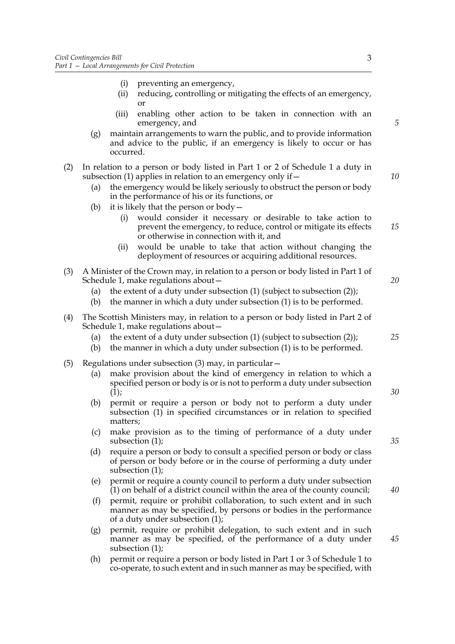- (i) preventing an emergency,
- (ii) reducing, controlling or mitigating the effects of an emergency, or
- (iii) enabling other action to be taken in connection with an emergency, and
- (g) maintain arrangements to warn the public, and to provide information and advice to the public, if an emergency is likely to occur or has occurred.
- (2) In relation to a person or body listed in Part 1 or 2 of Schedule 1 a duty in subsection (1) applies in relation to an emergency only if  $-$ 
	- (a) the emergency would be likely seriously to obstruct the person or body in the performance of his or its functions, or
	- (b) it is likely that the person or body  $-$ 
		- (i) would consider it necessary or desirable to take action to prevent the emergency, to reduce, control or mitigate its effects or otherwise in connection with it, and *15*
		- (ii) would be unable to take that action without changing the deployment of resources or acquiring additional resources.
- (3) A Minister of the Crown may, in relation to a person or body listed in Part 1 of Schedule 1, make regulations about—
	- (a) the extent of a duty under subsection  $(1)$  (subject to subsection  $(2)$ );
	- (b) the manner in which a duty under subsection (1) is to be performed.
- (4) The Scottish Ministers may, in relation to a person or body listed in Part 2 of Schedule 1, make regulations about—
	- (a) the extent of a duty under subsection  $(1)$  (subject to subsection  $(2)$ );
	- (b) the manner in which a duty under subsection (1) is to be performed.
- (5) Regulations under subsection (3) may, in particular—
	- (a) make provision about the kind of emergency in relation to which a specified person or body is or is not to perform a duty under subsection  $(1);$
	- (b) permit or require a person or body not to perform a duty under subsection (1) in specified circumstances or in relation to specified matters;
	- (c) make provision as to the timing of performance of a duty under subsection (1);
	- (d) require a person or body to consult a specified person or body or class of person or body before or in the course of performing a duty under subsection (1);
	- (e) permit or require a county council to perform a duty under subsection  $(1)$  on behalf of a district council within the area of the county council;
	- (f) permit, require or prohibit collaboration, to such extent and in such manner as may be specified, by persons or bodies in the performance of a duty under subsection (1);
	- (g) permit, require or prohibit delegation, to such extent and in such manner as may be specified, of the performance of a duty under subsection (1);
	- (h) permit or require a person or body listed in Part 1 or 3 of Schedule 1 to co-operate, to such extent and in such manner as may be specified, with

*5*

*10*

*20*

*25*

*30*

*35*

*40*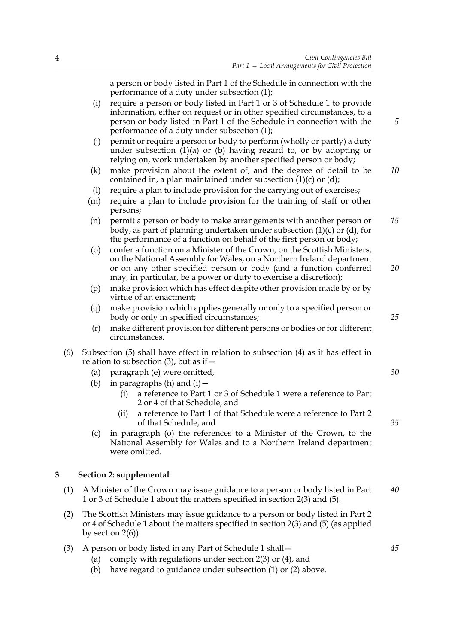a person or body listed in Part 1 of the Schedule in connection with the performance of a duty under subsection (1);

|     |         | performance of a duty under subsection (1);                                                                                                                                                                                                                                                 |    |
|-----|---------|---------------------------------------------------------------------------------------------------------------------------------------------------------------------------------------------------------------------------------------------------------------------------------------------|----|
|     | (i)     | require a person or body listed in Part 1 or 3 of Schedule 1 to provide<br>information, either on request or in other specified circumstances, to a                                                                                                                                         |    |
|     |         | person or body listed in Part 1 of the Schedule in connection with the<br>performance of a duty under subsection (1);                                                                                                                                                                       | 5  |
|     | (j)     | permit or require a person or body to perform (wholly or partly) a duty<br>under subsection $(1)(a)$ or $(b)$ having regard to, or by adopting or<br>relying on, work undertaken by another specified person or body;                                                                       |    |
|     | (k)     | make provision about the extent of, and the degree of detail to be<br>contained in, a plan maintained under subsection $(1)(c)$ or $(d)$ ;                                                                                                                                                  | 10 |
|     | (1)     | require a plan to include provision for the carrying out of exercises;                                                                                                                                                                                                                      |    |
|     | (m)     | require a plan to include provision for the training of staff or other<br>persons;                                                                                                                                                                                                          |    |
|     | (n)     | permit a person or body to make arrangements with another person or<br>body, as part of planning undertaken under subsection $(1)(c)$ or $(d)$ , for<br>the performance of a function on behalf of the first person or body;                                                                | 15 |
|     | $\circ$ | confer a function on a Minister of the Crown, on the Scottish Ministers,<br>on the National Assembly for Wales, on a Northern Ireland department<br>or on any other specified person or body (and a function conferred<br>may, in particular, be a power or duty to exercise a discretion); | 20 |
|     | (p)     | make provision which has effect despite other provision made by or by<br>virtue of an enactment;                                                                                                                                                                                            |    |
|     | (q)     | make provision which applies generally or only to a specified person or<br>body or only in specified circumstances;                                                                                                                                                                         | 25 |
|     | (r)     | make different provision for different persons or bodies or for different<br>circumstances.                                                                                                                                                                                                 |    |
| (6) |         | Subsection $(5)$ shall have effect in relation to subsection $(4)$ as it has effect in<br>relation to subsection $(3)$ , but as if $-$                                                                                                                                                      |    |
|     | (a)     | paragraph (e) were omitted,                                                                                                                                                                                                                                                                 | 30 |
|     | (b)     | in paragraphs (h) and $(i)$ –                                                                                                                                                                                                                                                               |    |
|     |         | a reference to Part 1 or 3 of Schedule 1 were a reference to Part<br>(i)<br>2 or 4 of that Schedule, and                                                                                                                                                                                    |    |
|     |         | a reference to Part 1 of that Schedule were a reference to Part 2<br>(i)<br>of that Schedule, and                                                                                                                                                                                           | 35 |
|     | (c)     | in paragraph (o) the references to a Minister of the Crown, to the<br>National Assembly for Wales and to a Northern Ireland department<br>were omitted.                                                                                                                                     |    |
| 3   |         | Section 2: supplemental                                                                                                                                                                                                                                                                     |    |

- (1) A Minister of the Crown may issue guidance to a person or body listed in Part 1 or 3 of Schedule 1 about the matters specified in section 2(3) and (5). *40*
- (2) The Scottish Ministers may issue guidance to a person or body listed in Part 2 or 4 of Schedule 1 about the matters specified in section 2(3) and (5) (as applied by section  $2(6)$ ).
- (3) A person or body listed in any Part of Schedule 1 shall—
	- (a) comply with regulations under section 2(3) or (4), and
	- (b) have regard to guidance under subsection (1) or (2) above.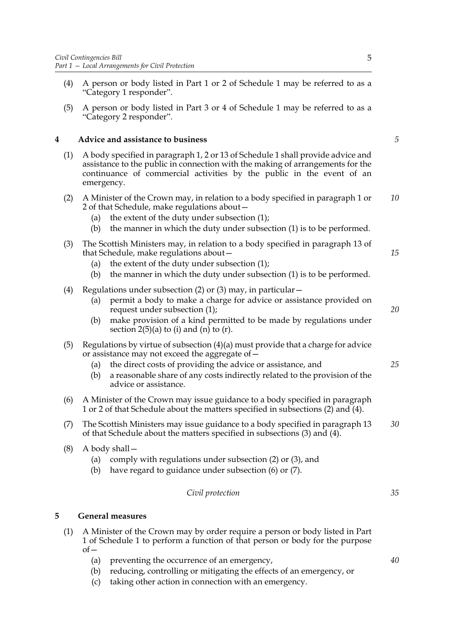- (4) A person or body listed in Part 1 or 2 of Schedule 1 may be referred to as a "Category 1 responder".
- (5) A person or body listed in Part 3 or 4 of Schedule 1 may be referred to as a "Category 2 responder".

#### **4 Advice and assistance to business**

- (1) A body specified in paragraph 1, 2 or 13 of Schedule 1 shall provide advice and assistance to the public in connection with the making of arrangements for the continuance of commercial activities by the public in the event of an emergency.
- (2) A Minister of the Crown may, in relation to a body specified in paragraph 1 or 2 of that Schedule, make regulations about— *10*
	- (a) the extent of the duty under subsection (1);
	- (b) the manner in which the duty under subsection (1) is to be performed.

| (3) The Scottish Ministers may, in relation to a body specified in paragraph 13 of |
|------------------------------------------------------------------------------------|
| that Schedule, make regulations about -                                            |

- (a) the extent of the duty under subsection (1);
- (b) the manner in which the duty under subsection (1) is to be performed.
- (4) Regulations under subsection (2) or (3) may, in particular—
	- (a) permit a body to make a charge for advice or assistance provided on request under subsection (1);
	- (b) make provision of a kind permitted to be made by regulations under section  $2(5)(a)$  to (i) and (n) to (r).
- (5) Regulations by virtue of subsection  $(4)(a)$  must provide that a charge for advice or assistance may not exceed the aggregate of—
	- (a) the direct costs of providing the advice or assistance, and
	- (b) a reasonable share of any costs indirectly related to the provision of the advice or assistance.
- (6) A Minister of the Crown may issue guidance to a body specified in paragraph 1 or 2 of that Schedule about the matters specified in subsections (2) and (4).
- (7) The Scottish Ministers may issue guidance to a body specified in paragraph 13 of that Schedule about the matters specified in subsections (3) and (4). *30*
- $(8)$  A body shall  $-$ 
	- (a) comply with regulations under subsection (2) or (3), and
	- (b) have regard to guidance under subsection (6) or (7).

*Civil protection*

# **5 General measures**

- (1) A Minister of the Crown may by order require a person or body listed in Part 1 of Schedule 1 to perform a function of that person or body for the purpose  $of$ 
	- (a) preventing the occurrence of an emergency,
	- (b) reducing, controlling or mitigating the effects of an emergency, or
	- (c) taking other action in connection with an emergency.

*5*

*15*

*20*

*25*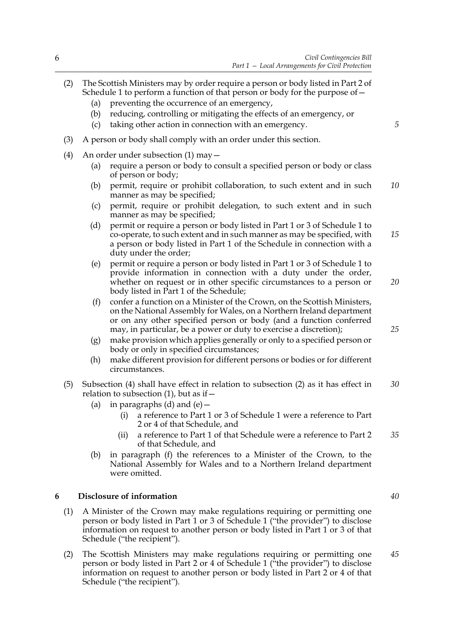- (a) preventing the occurrence of an emergency,
- (b) reducing, controlling or mitigating the effects of an emergency, or
- (c) taking other action in connection with an emergency.
- (3) A person or body shall comply with an order under this section.
- (4) An order under subsection (1) may—
	- (a) require a person or body to consult a specified person or body or class of person or body;
	- (b) permit, require or prohibit collaboration, to such extent and in such manner as may be specified; *10*
	- (c) permit, require or prohibit delegation, to such extent and in such manner as may be specified;
	- (d) permit or require a person or body listed in Part 1 or 3 of Schedule 1 to co-operate, to such extent and in such manner as may be specified, with a person or body listed in Part 1 of the Schedule in connection with a duty under the order; *15*
	- (e) permit or require a person or body listed in Part 1 or 3 of Schedule 1 to provide information in connection with a duty under the order, whether on request or in other specific circumstances to a person or body listed in Part 1 of the Schedule; *20*
	- (f) confer a function on a Minister of the Crown, on the Scottish Ministers, on the National Assembly for Wales, on a Northern Ireland department or on any other specified person or body (and a function conferred may, in particular, be a power or duty to exercise a discretion);
	- (g) make provision which applies generally or only to a specified person or body or only in specified circumstances;
	- (h) make different provision for different persons or bodies or for different circumstances.
- (5) Subsection (4) shall have effect in relation to subsection (2) as it has effect in relation to subsection  $(1)$ , but as if  $-$ *30*
	- (a) in paragraphs (d) and  $(e)$ 
		- a reference to Part 1 or 3 of Schedule 1 were a reference to Part 2 or 4 of that Schedule, and
		- (ii) a reference to Part 1 of that Schedule were a reference to Part 2 of that Schedule, and *35*
	- (b) in paragraph (f) the references to a Minister of the Crown, to the National Assembly for Wales and to a Northern Ireland department were omitted.

#### **6 Disclosure of information**

- (1) A Minister of the Crown may make regulations requiring or permitting one person or body listed in Part 1 or 3 of Schedule 1 ("the provider") to disclose information on request to another person or body listed in Part 1 or 3 of that Schedule ("the recipient").
- (2) The Scottish Ministers may make regulations requiring or permitting one person or body listed in Part 2 or 4 of Schedule 1 ("the provider") to disclose information on request to another person or body listed in Part 2 or 4 of that Schedule ("the recipient"). *45*

*5*

*25*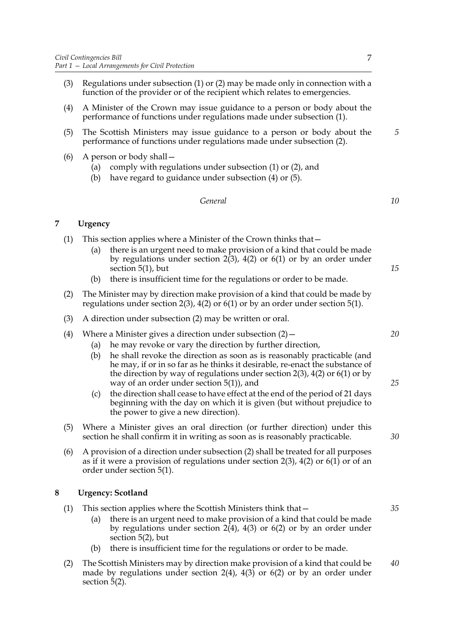- (3) Regulations under subsection (1) or (2) may be made only in connection with a function of the provider or of the recipient which relates to emergencies.
- (4) A Minister of the Crown may issue guidance to a person or body about the performance of functions under regulations made under subsection (1).
- (5) The Scottish Ministers may issue guidance to a person or body about the performance of functions under regulations made under subsection (2).
- (6) A person or body shall—
	- (a) comply with regulations under subsection (1) or (2), and
	- (b) have regard to guidance under subsection (4) or (5).

#### *General*

#### **7 Urgency**

- (1) This section applies where a Minister of the Crown thinks that—
	- (a) there is an urgent need to make provision of a kind that could be made by regulations under section 2(3), 4(2) or 6(1) or by an order under section 5(1), but
	- (b) there is insufficient time for the regulations or order to be made.
- (2) The Minister may by direction make provision of a kind that could be made by regulations under section 2(3), 4(2) or 6(1) or by an order under section 5(1).
- (3) A direction under subsection (2) may be written or oral.
- (4) Where a Minister gives a direction under subsection  $(2)$  -
	- (a) he may revoke or vary the direction by further direction,
	- (b) he shall revoke the direction as soon as is reasonably practicable (and he may, if or in so far as he thinks it desirable, re-enact the substance of the direction by way of regulations under section  $2(3)$ ,  $4(2)$  or  $6(1)$  or by way of an order under section 5(1)), and
	- (c) the direction shall cease to have effect at the end of the period of 21 days beginning with the day on which it is given (but without prejudice to the power to give a new direction).
- (5) Where a Minister gives an oral direction (or further direction) under this section he shall confirm it in writing as soon as is reasonably practicable.
- (6) A provision of a direction under subsection (2) shall be treated for all purposes as if it were a provision of regulations under section  $2(3)$ ,  $4(2)$  or  $6(1)$  or of an order under section 5(1).

#### **8 Urgency: Scotland**

- (1) This section applies where the Scottish Ministers think that—
	- (a) there is an urgent need to make provision of a kind that could be made by regulations under section  $2(4)$ ,  $4(3)$  or  $6(2)$  or by an order under section 5(2), but
	- (b) there is insufficient time for the regulations or order to be made.
- (2) The Scottish Ministers may by direction make provision of a kind that could be made by regulations under section 2(4), 4(3) or 6(2) or by an order under section 5(2). *40*

*5*

*10*

*15*

*20*

*25*

*30*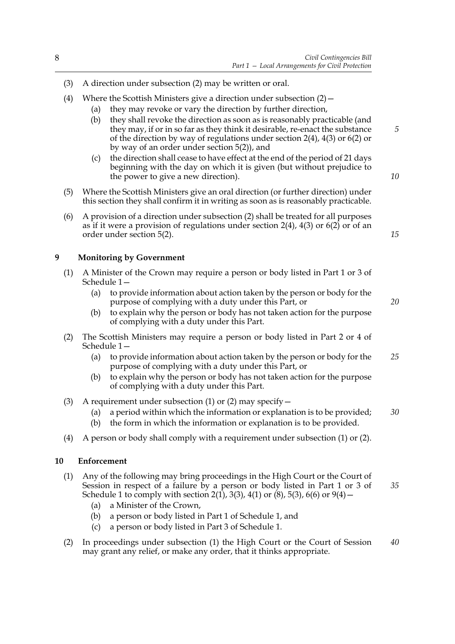- (3) A direction under subsection (2) may be written or oral.
- (4) Where the Scottish Ministers give a direction under subsection  $(2)$ 
	- (a) they may revoke or vary the direction by further direction,
	- (b) they shall revoke the direction as soon as is reasonably practicable (and they may, if or in so far as they think it desirable, re-enact the substance of the direction by way of regulations under section 2(4), 4(3) or 6(2) or by way of an order under section 5(2)), and
	- (c) the direction shall cease to have effect at the end of the period of 21 days beginning with the day on which it is given (but without prejudice to the power to give a new direction).
- (5) Where the Scottish Ministers give an oral direction (or further direction) under this section they shall confirm it in writing as soon as is reasonably practicable.
- (6) A provision of a direction under subsection (2) shall be treated for all purposes as if it were a provision of regulations under section 2(4), 4(3) or 6(2) or of an order under section 5(2).

*15*

*5*

*10*

#### **9 Monitoring by Government**

- (1) A Minister of the Crown may require a person or body listed in Part 1 or 3 of Schedule 1—
	- (a) to provide information about action taken by the person or body for the purpose of complying with a duty under this Part, or
	- (b) to explain why the person or body has not taken action for the purpose of complying with a duty under this Part.
- (2) The Scottish Ministers may require a person or body listed in Part 2 or 4 of Schedule 1—
	- (a) to provide information about action taken by the person or body for the purpose of complying with a duty under this Part, or *25*
	- (b) to explain why the person or body has not taken action for the purpose of complying with a duty under this Part.
- (3) A requirement under subsection (1) or (2) may specify  $-$ 
	- (a) a period within which the information or explanation is to be provided; *30*
	- (b) the form in which the information or explanation is to be provided.
- (4) A person or body shall comply with a requirement under subsection (1) or (2).

#### **10 Enforcement**

- (1) Any of the following may bring proceedings in the High Court or the Court of Session in respect of a failure by a person or body listed in Part 1 or 3 of Schedule 1 to comply with section 2(1), 3(3), 4(1) or  $(8)$ , 5(3), 6(6) or 9(4) – *35*
	- (a) a Minister of the Crown,
	- (b) a person or body listed in Part 1 of Schedule 1, and
	- (c) a person or body listed in Part 3 of Schedule 1.
- (2) In proceedings under subsection (1) the High Court or the Court of Session may grant any relief, or make any order, that it thinks appropriate. *40*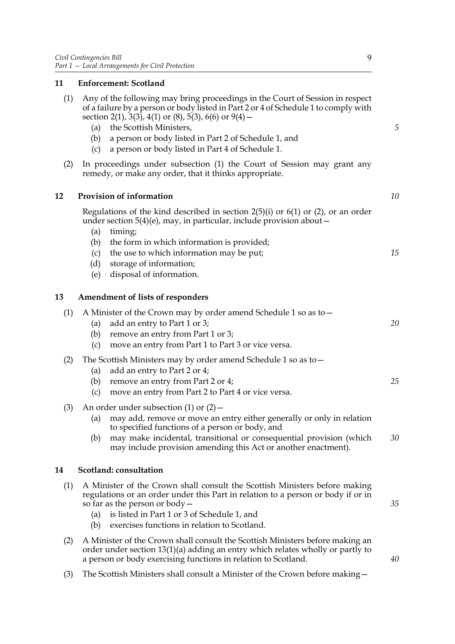#### **11 Enforcement: Scotland**

- (1) Any of the following may bring proceedings in the Court of Session in respect of a failure by a person or body listed in Part 2 or 4 of Schedule 1 to comply with section 2(1),  $3(3)$ , 4(1) or (8), 5(3), 6(6) or 9(4) –
	- (a) the Scottish Ministers,
	- (b) a person or body listed in Part 2 of Schedule 1, and
	- (c) a person or body listed in Part 4 of Schedule 1.
- (2) In proceedings under subsection (1) the Court of Session may grant any remedy, or make any order, that it thinks appropriate.

| Provision of information |
|--------------------------|
|                          |

Regulations of the kind described in section  $2(5)(i)$  or  $6(1)$  or  $(2)$ , or an order under section 5(4)(e), may, in particular, include provision about—

- (a) timing;
- (b) the form in which information is provided;
- (c) the use to which information may be put;
- (d) storage of information;
- (e) disposal of information.

#### **13 Amendment of lists of responders**

| (1) A Minister of the Crown may by order amend Schedule 1 so as to $-$ |                                                    |
|------------------------------------------------------------------------|----------------------------------------------------|
|                                                                        | (a) add an entry to Part 1 or 3;                   |
|                                                                        | (b) remove an entry from Part 1 or 3;              |
| (c)                                                                    | move an entry from Part 1 to Part 3 or vice versa. |

#### (2) The Scottish Ministers may by order amend Schedule 1 so as to—

- (a) add an entry to Part 2 or 4;
- (b) remove an entry from Part 2 or 4;
- (c) move an entry from Part 2 to Part 4 or vice versa.
- (3) An order under subsection (1) or  $(2)$ 
	- (a) may add, remove or move an entry either generally or only in relation to specified functions of a person or body, and
	- (b) may make incidental, transitional or consequential provision (which may include provision amending this Act or another enactment). *30*

#### **14 Scotland: consultation**

- (1) A Minister of the Crown shall consult the Scottish Ministers before making regulations or an order under this Part in relation to a person or body if or in so far as the person or body—
	- (a) is listed in Part 1 or 3 of Schedule 1, and
	- (b) exercises functions in relation to Scotland.
- (2) A Minister of the Crown shall consult the Scottish Ministers before making an order under section 13(1)(a) adding an entry which relates wholly or partly to a person or body exercising functions in relation to Scotland.
- (3) The Scottish Ministers shall consult a Minister of the Crown before making—

*5*

*10*

*15*

*20*

*25*

*40*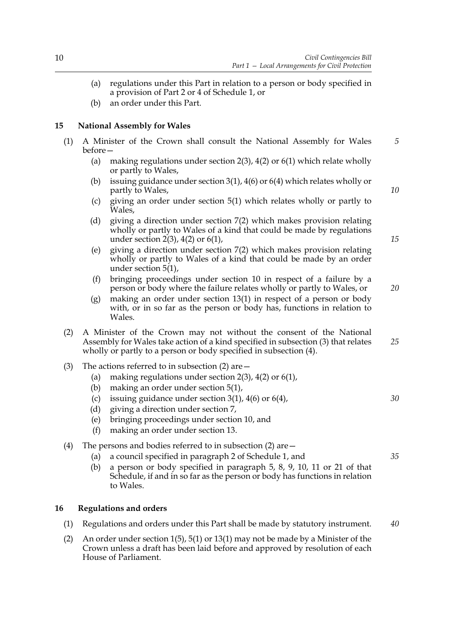- (a) regulations under this Part in relation to a person or body specified in a provision of Part 2 or 4 of Schedule 1, or
- (b) an order under this Part.

#### **15 National Assembly for Wales**

- (1) A Minister of the Crown shall consult the National Assembly for Wales before— *5*
	- (a) making regulations under section  $2(3)$ ,  $4(2)$  or  $6(1)$  which relate wholly or partly to Wales,
	- (b) issuing guidance under section 3(1), 4(6) or 6(4) which relates wholly or partly to Wales,
	- (c) giving an order under section 5(1) which relates wholly or partly to Wales,
	- (d) giving a direction under section 7(2) which makes provision relating wholly or partly to Wales of a kind that could be made by regulations under section  $2(3)$ ,  $4(2)$  or  $6(1)$ ,
	- (e) giving a direction under section 7(2) which makes provision relating wholly or partly to Wales of a kind that could be made by an order under section 5(1),
	- (f) bringing proceedings under section 10 in respect of a failure by a person or body where the failure relates wholly or partly to Wales, or
	- (g) making an order under section 13(1) in respect of a person or body with, or in so far as the person or body has, functions in relation to Wales.
- (2) A Minister of the Crown may not without the consent of the National Assembly for Wales take action of a kind specified in subsection (3) that relates wholly or partly to a person or body specified in subsection (4). *25*
- (3) The actions referred to in subsection (2) are—
	- (a) making regulations under section  $2(3)$ ,  $4(2)$  or  $6(1)$ ,
	- (b) making an order under section 5(1),
	- (c) issuing guidance under section 3(1), 4(6) or  $6(4)$ ,
	- (d) giving a direction under section 7,
	- (e) bringing proceedings under section 10, and
	- (f) making an order under section 13.
- (4) The persons and bodies referred to in subsection (2) are—
	- (a) a council specified in paragraph 2 of Schedule 1, and
	- (b) a person or body specified in paragraph 5, 8, 9, 10, 11 or 21 of that Schedule, if and in so far as the person or body has functions in relation to Wales.

#### **16 Regulations and orders**

- (1) Regulations and orders under this Part shall be made by statutory instrument. *40*
- (2) An order under section 1(5), 5(1) or 13(1) may not be made by a Minister of the Crown unless a draft has been laid before and approved by resolution of each House of Parliament.

*15*

*10*



*20*

*30*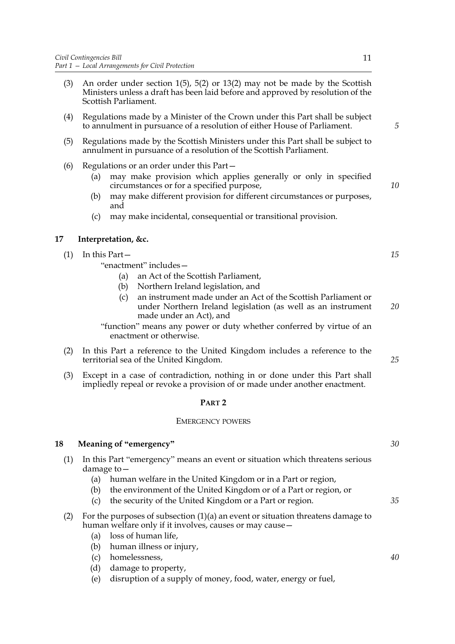- (3) An order under section 1(5), 5(2) or 13(2) may not be made by the Scottish Ministers unless a draft has been laid before and approved by resolution of the Scottish Parliament.
- (4) Regulations made by a Minister of the Crown under this Part shall be subject to annulment in pursuance of a resolution of either House of Parliament.
- (5) Regulations made by the Scottish Ministers under this Part shall be subject to annulment in pursuance of a resolution of the Scottish Parliament.
- (6) Regulations or an order under this Part—
	- (a) may make provision which applies generally or only in specified circumstances or for a specified purpose,
	- (b) may make different provision for different circumstances or purposes, and
	- (c) may make incidental, consequential or transitional provision.

#### **17 Interpretation, &c.**

- (1) In this Part—
	- "enactment" includes—
		- (a) an Act of the Scottish Parliament,
		- (b) Northern Ireland legislation, and
		- (c) an instrument made under an Act of the Scottish Parliament or under Northern Ireland legislation (as well as an instrument made under an Act), and *20*

"function" means any power or duty whether conferred by virtue of an enactment or otherwise.

- (2) In this Part a reference to the United Kingdom includes a reference to the territorial sea of the United Kingdom.
- (3) Except in a case of contradiction, nothing in or done under this Part shall impliedly repeal or revoke a provision of or made under another enactment.

#### **PART 2**

#### EMERGENCY POWERS

#### **18 Meaning of "emergency"**

- (1) In this Part "emergency" means an event or situation which threatens serious damage to—
	- (a) human welfare in the United Kingdom or in a Part or region,
	- (b) the environment of the United Kingdom or of a Part or region, or
	- (c) the security of the United Kingdom or a Part or region.
- (2) For the purposes of subsection (1)(a) an event or situation threatens damage to human welfare only if it involves, causes or may cause—
	- (a) loss of human life,
	- (b) human illness or injury,
	- (c) homelessness,
	- (d) damage to property,
	- (e) disruption of a supply of money, food, water, energy or fuel,

*30*

*40*

*35*

*25*

*5*

*10*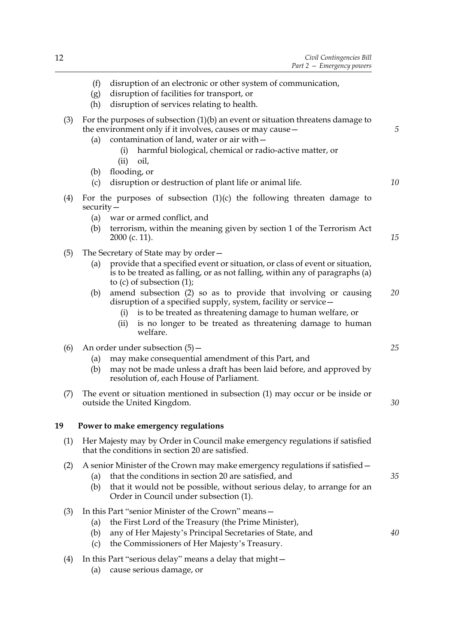|     | (f)<br>(g)<br>(h)          | disruption of an electronic or other system of communication,<br>disruption of facilities for transport, or<br>disruption of services relating to health.                                                                                                                                                                                                                     |    |
|-----|----------------------------|-------------------------------------------------------------------------------------------------------------------------------------------------------------------------------------------------------------------------------------------------------------------------------------------------------------------------------------------------------------------------------|----|
| (3) | (a)<br>(b)                 | For the purposes of subsection $(1)(b)$ an event or situation threatens damage to<br>the environment only if it involves, causes or may cause –<br>contamination of land, water or air with -<br>harmful biological, chemical or radio-active matter, or<br>(i)<br>oil,<br>(ii)<br>flooding, or                                                                               | 5  |
|     | (c)                        | disruption or destruction of plant life or animal life.                                                                                                                                                                                                                                                                                                                       | 10 |
| (4) | $security -$<br>(a)<br>(b) | For the purposes of subsection $(1)(c)$ the following threaten damage to<br>war or armed conflict, and<br>terrorism, within the meaning given by section 1 of the Terrorism Act<br>$2000$ (c. 11).                                                                                                                                                                            | 15 |
| (5) | (a)<br>(b)                 | The Secretary of State may by order -<br>provide that a specified event or situation, or class of event or situation,<br>is to be treated as falling, or as not falling, within any of paragraphs (a)<br>to $(c)$ of subsection $(1)$ ;<br>amend subsection (2) so as to provide that involving or causing<br>disruption of a specified supply, system, facility or service - | 20 |
|     |                            | is to be treated as threatening damage to human welfare, or<br>(i)<br>is no longer to be treated as threatening damage to human<br>(ii)<br>welfare.                                                                                                                                                                                                                           |    |
| (6) | (a)<br>(b)                 | An order under subsection $(5)$ –<br>may make consequential amendment of this Part, and<br>may not be made unless a draft has been laid before, and approved by<br>resolution of, each House of Parliament.                                                                                                                                                                   | 25 |
| (7) |                            | The event or situation mentioned in subsection (1) may occur or be inside or<br>outside the United Kingdom.                                                                                                                                                                                                                                                                   | 30 |
| 19  |                            | Power to make emergency regulations                                                                                                                                                                                                                                                                                                                                           |    |
| (1) |                            | Her Majesty may by Order in Council make emergency regulations if satisfied<br>that the conditions in section 20 are satisfied.                                                                                                                                                                                                                                               |    |
| (2) | (a)<br>(b)                 | A senior Minister of the Crown may make emergency regulations if satisfied –<br>that the conditions in section 20 are satisfied, and<br>that it would not be possible, without serious delay, to arrange for an<br>Order in Council under subsection (1).                                                                                                                     | 35 |
| (3) | (a)<br>(b)<br>(c)          | In this Part "senior Minister of the Crown" means-<br>the First Lord of the Treasury (the Prime Minister),<br>any of Her Majesty's Principal Secretaries of State, and<br>the Commissioners of Her Majesty's Treasury.                                                                                                                                                        | 40 |

- (4) In this Part "serious delay" means a delay that might—
	- (a) cause serious damage, or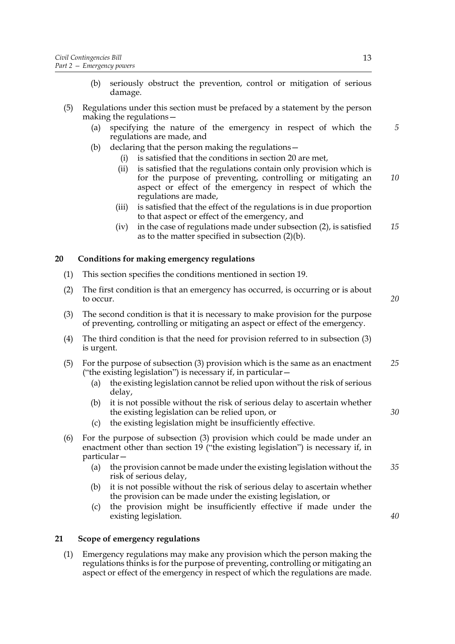- (b) seriously obstruct the prevention, control or mitigation of serious damage.
- (5) Regulations under this section must be prefaced by a statement by the person making the regulations—
	- (a) specifying the nature of the emergency in respect of which the regulations are made, and
	- (b) declaring that the person making the regulations—
		- (i) is satisfied that the conditions in section 20 are met,
		- (ii) is satisfied that the regulations contain only provision which is for the purpose of preventing, controlling or mitigating an aspect or effect of the emergency in respect of which the regulations are made, *10*
		- (iii) is satisfied that the effect of the regulations is in due proportion to that aspect or effect of the emergency, and
		- (iv) in the case of regulations made under subsection (2), is satisfied as to the matter specified in subsection (2)(b). *15*

#### **20 Conditions for making emergency regulations**

- (1) This section specifies the conditions mentioned in section 19.
- (2) The first condition is that an emergency has occurred, is occurring or is about to occur.
- (3) The second condition is that it is necessary to make provision for the purpose of preventing, controlling or mitigating an aspect or effect of the emergency.
- (4) The third condition is that the need for provision referred to in subsection (3) is urgent.
- (5) For the purpose of subsection (3) provision which is the same as an enactment ("the existing legislation") is necessary if, in particular— *25*
	- (a) the existing legislation cannot be relied upon without the risk of serious delay,
	- (b) it is not possible without the risk of serious delay to ascertain whether the existing legislation can be relied upon, or
	- (c) the existing legislation might be insufficiently effective.
- (6) For the purpose of subsection (3) provision which could be made under an enactment other than section  $19$  ("the existing legislation") is necessary if, in particular—
	- (a) the provision cannot be made under the existing legislation without the risk of serious delay, *35*
	- (b) it is not possible without the risk of serious delay to ascertain whether the provision can be made under the existing legislation, or
	- (c) the provision might be insufficiently effective if made under the existing legislation.

*40*

#### **21 Scope of emergency regulations**

(1) Emergency regulations may make any provision which the person making the regulations thinks is for the purpose of preventing, controlling or mitigating an aspect or effect of the emergency in respect of which the regulations are made.

*5*

*30*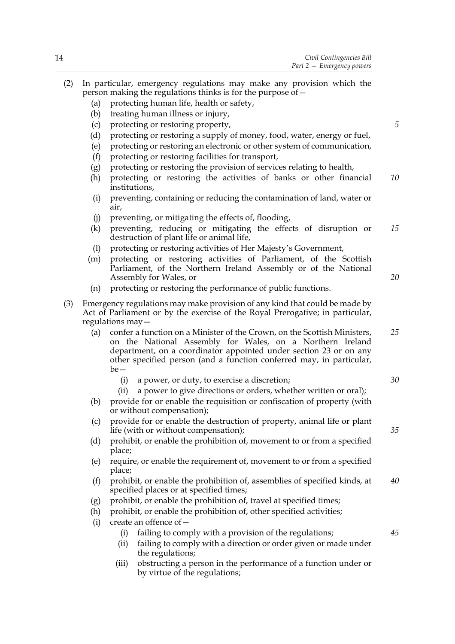| (2) |     | In particular, emergency regulations may make any provision which the<br>person making the regulations thinks is for the purpose of -                                                                                                                                                       |    |
|-----|-----|---------------------------------------------------------------------------------------------------------------------------------------------------------------------------------------------------------------------------------------------------------------------------------------------|----|
|     | (a) | protecting human life, health or safety,                                                                                                                                                                                                                                                    |    |
|     | (b) | treating human illness or injury,                                                                                                                                                                                                                                                           |    |
|     | (c) | protecting or restoring property,                                                                                                                                                                                                                                                           | 5  |
|     | (d) | protecting or restoring a supply of money, food, water, energy or fuel,                                                                                                                                                                                                                     |    |
|     | (e) | protecting or restoring an electronic or other system of communication,                                                                                                                                                                                                                     |    |
|     | (f) | protecting or restoring facilities for transport,                                                                                                                                                                                                                                           |    |
|     | (g) | protecting or restoring the provision of services relating to health,                                                                                                                                                                                                                       |    |
|     | (h) | protecting or restoring the activities of banks or other financial<br>institutions,                                                                                                                                                                                                         | 10 |
|     | (i) | preventing, containing or reducing the contamination of land, water or<br>air,                                                                                                                                                                                                              |    |
|     | (j) | preventing, or mitigating the effects of, flooding,                                                                                                                                                                                                                                         |    |
|     | (k) | preventing, reducing or mitigating the effects of disruption or<br>destruction of plant life or animal life,                                                                                                                                                                                | 15 |
|     | (1) | protecting or restoring activities of Her Majesty's Government,                                                                                                                                                                                                                             |    |
|     | (m) | protecting or restoring activities of Parliament, of the Scottish<br>Parliament, of the Northern Ireland Assembly or of the National<br>Assembly for Wales, or                                                                                                                              | 20 |
|     | (n) | protecting or restoring the performance of public functions.                                                                                                                                                                                                                                |    |
| (3) |     | Emergency regulations may make provision of any kind that could be made by<br>Act of Parliament or by the exercise of the Royal Prerogative; in particular,<br>regulations may $-$                                                                                                          |    |
|     | (a) | confer a function on a Minister of the Crown, on the Scottish Ministers,<br>on the National Assembly for Wales, on a Northern Ireland<br>department, on a coordinator appointed under section 23 or on any<br>other specified person (and a function conferred may, in particular,<br>$be-$ | 25 |
|     |     | a power, or duty, to exercise a discretion;<br>(i)                                                                                                                                                                                                                                          | 30 |
|     |     | a power to give directions or orders, whether written or oral);<br>(ii)                                                                                                                                                                                                                     |    |
|     | (b) | provide for or enable the requisition or confiscation of property (with<br>or without compensation);                                                                                                                                                                                        |    |
|     |     | (c) provide for or enable the destruction of property, animal life or plant<br>life (with or without compensation);                                                                                                                                                                         | 35 |
|     | (d) | prohibit, or enable the prohibition of, movement to or from a specified<br>place;                                                                                                                                                                                                           |    |
|     | (e) | require, or enable the requirement of, movement to or from a specified<br>place;                                                                                                                                                                                                            |    |
|     | (f) | prohibit, or enable the prohibition of, assemblies of specified kinds, at<br>specified places or at specified times;                                                                                                                                                                        | 40 |
|     | (g) | prohibit, or enable the prohibition of, travel at specified times;                                                                                                                                                                                                                          |    |
|     | (h) | prohibit, or enable the prohibition of, other specified activities;                                                                                                                                                                                                                         |    |
|     | (i) | create an offence of -                                                                                                                                                                                                                                                                      |    |
|     |     | failing to comply with a provision of the regulations;<br>(i)                                                                                                                                                                                                                               | 45 |
|     |     | failing to comply with a direction or order given or made under<br>(ii)<br>the regulations;                                                                                                                                                                                                 |    |

(iii) obstructing a person in the performance of a function under or by virtue of the regulations;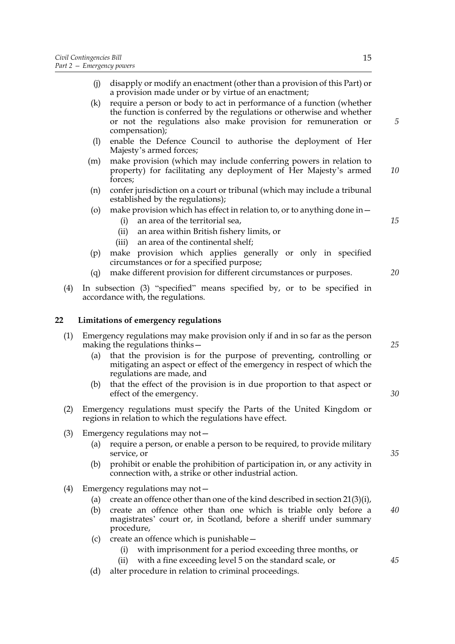- (j) disapply or modify an enactment (other than a provision of this Part) or a provision made under or by virtue of an enactment;
- (k) require a person or body to act in performance of a function (whether the function is conferred by the regulations or otherwise and whether or not the regulations also make provision for remuneration or compensation);
- (l) enable the Defence Council to authorise the deployment of Her Majesty's armed forces;
- (m) make provision (which may include conferring powers in relation to property) for facilitating any deployment of Her Majesty's armed forces; *10*
- (n) confer jurisdiction on a court or tribunal (which may include a tribunal established by the regulations);
- (o) make provision which has effect in relation to, or to anything done in—
	- (i) an area of the territorial sea,
	- (ii) an area within British fishery limits, or
	- (iii) an area of the continental shelf;
- (p) make provision which applies generally or only in specified circumstances or for a specified purpose;
- (q) make different provision for different circumstances or purposes.
- (4) In subsection (3) "specified" means specified by, or to be specified in accordance with, the regulations.

#### **22 Limitations of emergency regulations**

- (1) Emergency regulations may make provision only if and in so far as the person making the regulations thinks—
	- (a) that the provision is for the purpose of preventing, controlling or mitigating an aspect or effect of the emergency in respect of which the regulations are made, and
	- (b) that the effect of the provision is in due proportion to that aspect or effect of the emergency.
- (2) Emergency regulations must specify the Parts of the United Kingdom or regions in relation to which the regulations have effect.
- (3) Emergency regulations may not—
	- (a) require a person, or enable a person to be required, to provide military service, or
	- (b) prohibit or enable the prohibition of participation in, or any activity in connection with, a strike or other industrial action.
- (4) Emergency regulations may not—
	- (a) create an offence other than one of the kind described in section 21(3)(i),
	- (b) create an offence other than one which is triable only before a magistrates' court or, in Scotland, before a sheriff under summary procedure,
	- (c) create an offence which is punishable—
		- (i) with imprisonment for a period exceeding three months, or
		- (ii) with a fine exceeding level 5 on the standard scale, or
	- (d) alter procedure in relation to criminal proceedings.

*15*

*5*

*20*

*25*

*30*

*35*

*45*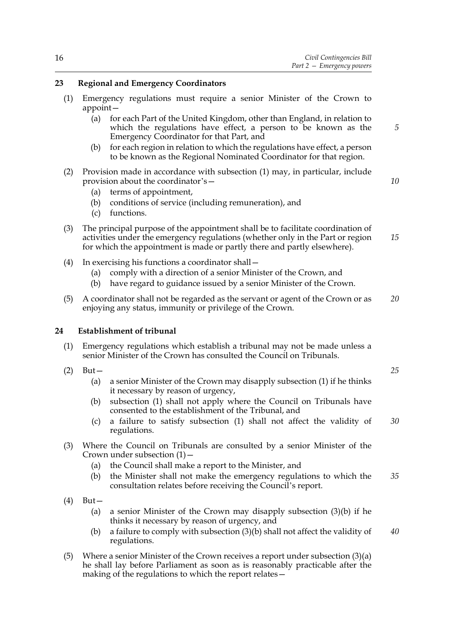#### **23 Regional and Emergency Coordinators**

- (1) Emergency regulations must require a senior Minister of the Crown to appoint—
	- (a) for each Part of the United Kingdom, other than England, in relation to which the regulations have effect, a person to be known as the Emergency Coordinator for that Part, and
	- (b) for each region in relation to which the regulations have effect, a person to be known as the Regional Nominated Coordinator for that region.
- (2) Provision made in accordance with subsection (1) may, in particular, include provision about the coordinator's—
	- (a) terms of appointment,
	- (b) conditions of service (including remuneration), and
	- (c) functions.
- (3) The principal purpose of the appointment shall be to facilitate coordination of activities under the emergency regulations (whether only in the Part or region for which the appointment is made or partly there and partly elsewhere). *15*
- (4) In exercising his functions a coordinator shall—
	- (a) comply with a direction of a senior Minister of the Crown, and
	- (b) have regard to guidance issued by a senior Minister of the Crown.
- (5) A coordinator shall not be regarded as the servant or agent of the Crown or as enjoying any status, immunity or privilege of the Crown. *20*

#### **24 Establishment of tribunal**

- (1) Emergency regulations which establish a tribunal may not be made unless a senior Minister of the Crown has consulted the Council on Tribunals.
- (2) But—
	- (a) a senior Minister of the Crown may disapply subsection (1) if he thinks it necessary by reason of urgency,
	- (b) subsection (1) shall not apply where the Council on Tribunals have consented to the establishment of the Tribunal, and
	- (c) a failure to satisfy subsection (1) shall not affect the validity of regulations. *30*
- (3) Where the Council on Tribunals are consulted by a senior Minister of the Crown under subsection  $(1)$  –
	- (a) the Council shall make a report to the Minister, and
	- (b) the Minister shall not make the emergency regulations to which the consultation relates before receiving the Council's report. *35*
- (4) But—
	- (a) a senior Minister of the Crown may disapply subsection (3)(b) if he thinks it necessary by reason of urgency, and
	- (b) a failure to comply with subsection (3)(b) shall not affect the validity of regulations. *40*
- (5) Where a senior Minister of the Crown receives a report under subsection (3)(a) he shall lay before Parliament as soon as is reasonably practicable after the making of the regulations to which the report relates—

*25*

*5*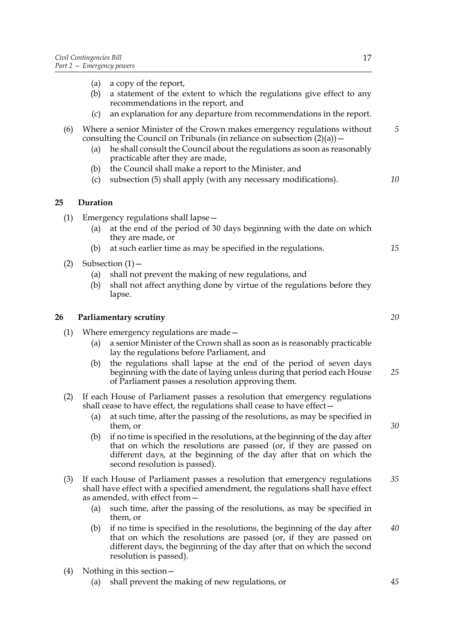(a) a copy of the report,

|     | (b)      | a statement of the extent to which the regulations give effect to any<br>recommendations in the report, and                                                                                                                                                             |    |
|-----|----------|-------------------------------------------------------------------------------------------------------------------------------------------------------------------------------------------------------------------------------------------------------------------------|----|
|     | (c)      | an explanation for any departure from recommendations in the report.                                                                                                                                                                                                    |    |
| (6) | (a)      | Where a senior Minister of the Crown makes emergency regulations without<br>consulting the Council on Tribunals (in reliance on subsection $(2)(a)$ ) –<br>he shall consult the Council about the regulations as soon as reasonably<br>practicable after they are made, | 5  |
|     | (b)      | the Council shall make a report to the Minister, and                                                                                                                                                                                                                    |    |
|     | (c)      | subsection (5) shall apply (with any necessary modifications).                                                                                                                                                                                                          | 10 |
| 25  | Duration |                                                                                                                                                                                                                                                                         |    |
| (1) |          | Emergency regulations shall lapse -                                                                                                                                                                                                                                     |    |
|     | (a)      | at the end of the period of 30 days beginning with the date on which<br>they are made, or                                                                                                                                                                               |    |
|     | (b)      | at such earlier time as may be specified in the regulations.                                                                                                                                                                                                            | 15 |
| (2) |          | Subsection $(1)$ –                                                                                                                                                                                                                                                      |    |
|     | (a)      | shall not prevent the making of new regulations, and                                                                                                                                                                                                                    |    |
|     | (b)      | shall not affect anything done by virtue of the regulations before they<br>lapse.                                                                                                                                                                                       |    |
| 26  |          | Parliamentary scrutiny                                                                                                                                                                                                                                                  | 20 |
| (1) |          | Where emergency regulations are made-                                                                                                                                                                                                                                   |    |
|     | (a)      | a senior Minister of the Crown shall as soon as is reasonably practicable<br>lay the regulations before Parliament, and                                                                                                                                                 |    |
|     | (b)      | the regulations shall lapse at the end of the period of seven days<br>beginning with the date of laying unless during that period each House<br>of Parliament passes a resolution approving them.                                                                       | 25 |

#### (2) If each House of Parliament passes a resolution that emergency regulations shall cease to have effect, the regulations shall cease to have effect—

- (a) at such time, after the passing of the resolutions, as may be specified in them, or
- (b) if no time is specified in the resolutions, at the beginning of the day after that on which the resolutions are passed (or, if they are passed on different days, at the beginning of the day after that on which the second resolution is passed).
- (3) If each House of Parliament passes a resolution that emergency regulations shall have effect with a specified amendment, the regulations shall have effect as amended, with effect from— *35*
	- (a) such time, after the passing of the resolutions, as may be specified in them, or
	- (b) if no time is specified in the resolutions, the beginning of the day after that on which the resolutions are passed (or, if they are passed on different days, the beginning of the day after that on which the second resolution is passed). *40*
- (4) Nothing in this section—
	- (a) shall prevent the making of new regulations, or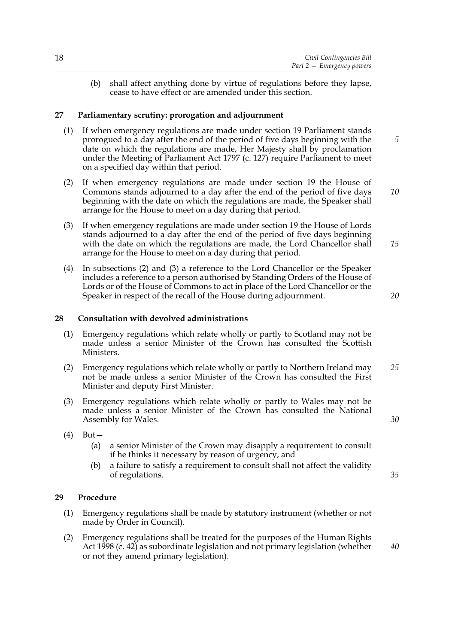(b) shall affect anything done by virtue of regulations before they lapse, cease to have effect or are amended under this section.

#### **27 Parliamentary scrutiny: prorogation and adjournment**

- (1) If when emergency regulations are made under section 19 Parliament stands prorogued to a day after the end of the period of five days beginning with the date on which the regulations are made, Her Majesty shall by proclamation under the Meeting of Parliament Act 1797 (c. 127) require Parliament to meet on a specified day within that period.
- (2) If when emergency regulations are made under section 19 the House of Commons stands adjourned to a day after the end of the period of five days beginning with the date on which the regulations are made, the Speaker shall arrange for the House to meet on a day during that period. *10*
- (3) If when emergency regulations are made under section 19 the House of Lords stands adjourned to a day after the end of the period of five days beginning with the date on which the regulations are made, the Lord Chancellor shall arrange for the House to meet on a day during that period.
- (4) In subsections (2) and (3) a reference to the Lord Chancellor or the Speaker includes a reference to a person authorised by Standing Orders of the House of Lords or of the House of Commons to act in place of the Lord Chancellor or the Speaker in respect of the recall of the House during adjournment.

**28 Consultation with devolved administrations**

- (1) Emergency regulations which relate wholly or partly to Scotland may not be made unless a senior Minister of the Crown has consulted the Scottish Ministers.
- (2) Emergency regulations which relate wholly or partly to Northern Ireland may not be made unless a senior Minister of the Crown has consulted the First Minister and deputy First Minister. *25*
- (3) Emergency regulations which relate wholly or partly to Wales may not be made unless a senior Minister of the Crown has consulted the National Assembly for Wales.
- (4) But—
	- (a) a senior Minister of the Crown may disapply a requirement to consult if he thinks it necessary by reason of urgency, and
	- (b) a failure to satisfy a requirement to consult shall not affect the validity of regulations.

#### **29 Procedure**

- (1) Emergency regulations shall be made by statutory instrument (whether or not made by Order in Council).
- (2) Emergency regulations shall be treated for the purposes of the Human Rights Act 1998 (c. 42) as subordinate legislation and not primary legislation (whether or not they amend primary legislation).

*5*

*15*

*20*

*30*

*35*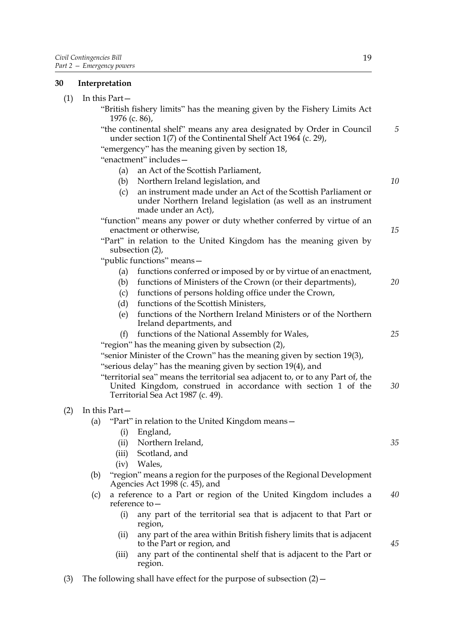#### **30 Interpretation**

| (1) |     | In this Part-     |                                                                                                                                                                                        |    |
|-----|-----|-------------------|----------------------------------------------------------------------------------------------------------------------------------------------------------------------------------------|----|
|     |     | 1976 (c. 86),     | "British fishery limits" has the meaning given by the Fishery Limits Act                                                                                                               |    |
|     |     |                   | "the continental shelf" means any area designated by Order in Council<br>under section 1(7) of the Continental Shelf Act 1964 (c. 29),                                                 | 5  |
|     |     |                   | "emergency" has the meaning given by section 18,                                                                                                                                       |    |
|     |     |                   | "enactment" includes-                                                                                                                                                                  |    |
|     |     | (a)               | an Act of the Scottish Parliament,                                                                                                                                                     |    |
|     |     | (b)               | Northern Ireland legislation, and                                                                                                                                                      | 10 |
|     |     | (c)               | an instrument made under an Act of the Scottish Parliament or<br>under Northern Ireland legislation (as well as an instrument<br>made under an Act),                                   |    |
|     |     |                   | "function" means any power or duty whether conferred by virtue of an<br>enactment or otherwise,                                                                                        | 15 |
|     |     |                   | "Part" in relation to the United Kingdom has the meaning given by<br>subsection $(2)$ ,                                                                                                |    |
|     |     |                   | "public functions" means-                                                                                                                                                              |    |
|     |     | (a)<br>(b)<br>(c) | functions conferred or imposed by or by virtue of an enactment,<br>functions of Ministers of the Crown (or their departments),<br>functions of persons holding office under the Crown, | 20 |
|     |     | (d)               | functions of the Scottish Ministers,                                                                                                                                                   |    |
|     |     | (e)               | functions of the Northern Ireland Ministers or of the Northern<br>Ireland departments, and                                                                                             |    |
|     |     | (f)               | functions of the National Assembly for Wales,                                                                                                                                          | 25 |
|     |     |                   | "region" has the meaning given by subsection (2),                                                                                                                                      |    |
|     |     |                   | "senior Minister of the Crown" has the meaning given by section 19(3),                                                                                                                 |    |
|     |     |                   | "serious delay" has the meaning given by section 19(4), and<br>"territorial sea" means the territorial sea adjacent to, or to any Part of, the                                         |    |
|     |     |                   | United Kingdom, construed in accordance with section 1 of the<br>Territorial Sea Act 1987 (c. 49).                                                                                     | 30 |
| (2) |     | In this Part-     |                                                                                                                                                                                        |    |
|     | (a) |                   | "Part" in relation to the United Kingdom means-                                                                                                                                        |    |
|     |     |                   | (i) England,                                                                                                                                                                           |    |
|     |     | (ii)              | Northern Ireland,                                                                                                                                                                      | 35 |
|     |     | (iii)             | Scotland, and                                                                                                                                                                          |    |
|     |     | (iv)              | Wales,                                                                                                                                                                                 |    |
|     | (b) |                   | "region" means a region for the purposes of the Regional Development<br>Agencies Act 1998 (c. 45), and                                                                                 |    |
|     | (c) |                   | a reference to a Part or region of the United Kingdom includes a<br>reference to $-$                                                                                                   | 40 |
|     |     | (i)               | any part of the territorial sea that is adjacent to that Part or                                                                                                                       |    |
|     |     | (ii)              | region,<br>any part of the area within British fishery limits that is adjacent                                                                                                         |    |
|     |     | (iii)             | to the Part or region, and<br>any part of the continental shelf that is adjacent to the Part or<br>region.                                                                             | 45 |

(3) The following shall have effect for the purpose of subsection  $(2)$  –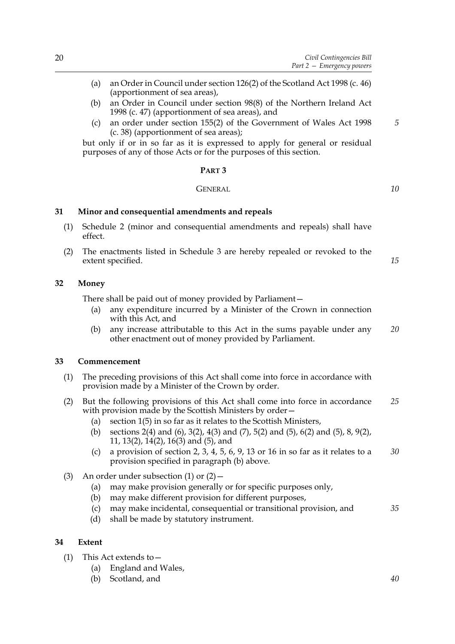- (a) an Order in Council under section 126(2) of the Scotland Act 1998 (c. 46) (apportionment of sea areas),
- (b) an Order in Council under section 98(8) of the Northern Ireland Act 1998 (c. 47) (apportionment of sea areas), and
- (c) an order under section 155(2) of the Government of Wales Act 1998 (c. 38) (apportionment of sea areas);

but only if or in so far as it is expressed to apply for general or residual purposes of any of those Acts or for the purposes of this section.

#### **PART 3**

#### **GENERAL**

#### *10*

*5*

#### **31 Minor and consequential amendments and repeals**

- (1) Schedule 2 (minor and consequential amendments and repeals) shall have effect.
- (2) The enactments listed in Schedule 3 are hereby repealed or revoked to the extent specified.

*15*

#### **32 Money**

There shall be paid out of money provided by Parliament—

- (a) any expenditure incurred by a Minister of the Crown in connection with this Act, and
- (b) any increase attributable to this Act in the sums payable under any other enactment out of money provided by Parliament. *20*

#### **33 Commencement**

- (1) The preceding provisions of this Act shall come into force in accordance with provision made by a Minister of the Crown by order.
- (2) But the following provisions of this Act shall come into force in accordance with provision made by the Scottish Ministers by order— *25*
	- (a) section 1(5) in so far as it relates to the Scottish Ministers,
	- (b) sections 2(4) and (6), 3(2), 4(3) and (7), 5(2) and (5), 6(2) and (5), 8, 9(2), 11, 13(2), 14(2), 16(3) and (5), and
	- (c) a provision of section 2, 3, 4, 5, 6, 9, 13 or 16 in so far as it relates to a provision specified in paragraph (b) above. *30*
- (3) An order under subsection (1) or  $(2)$ 
	- (a) may make provision generally or for specific purposes only,
	- (b) may make different provision for different purposes,
	- (c) may make incidental, consequential or transitional provision, and *35*
	- (d) shall be made by statutory instrument.

# **34 Extent**

- (1) This Act extends to—
	- (a) England and Wales,
	- (b) Scotland, and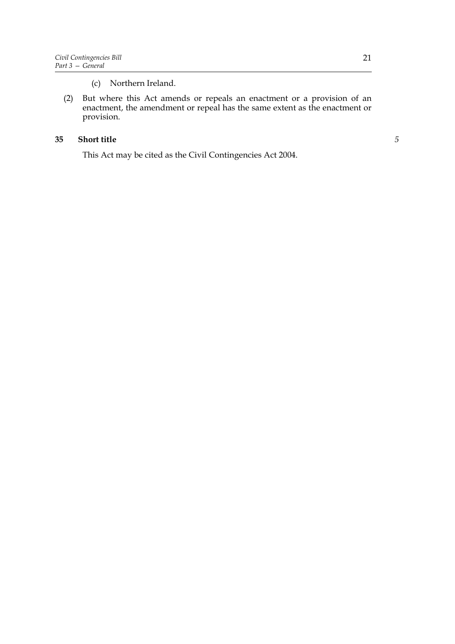- (c) Northern Ireland.
- (2) But where this Act amends or repeals an enactment or a provision of an enactment, the amendment or repeal has the same extent as the enactment or provision.

#### **35 Short title**

This Act may be cited as the Civil Contingencies Act 2004.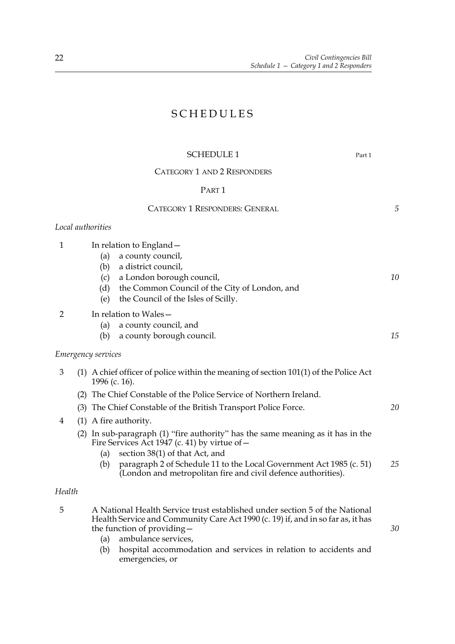# SCHEDULES

|                | <b>SCHEDULE 1</b><br>Part 1                                                                                                                                                                                                                                                                                              |    |
|----------------|--------------------------------------------------------------------------------------------------------------------------------------------------------------------------------------------------------------------------------------------------------------------------------------------------------------------------|----|
|                | <b>CATEGORY 1 AND 2 RESPONDERS</b>                                                                                                                                                                                                                                                                                       |    |
|                | PART <sub>1</sub>                                                                                                                                                                                                                                                                                                        |    |
|                | <b>CATEGORY 1 RESPONDERS: GENERAL</b>                                                                                                                                                                                                                                                                                    | 5  |
|                | Local authorities                                                                                                                                                                                                                                                                                                        |    |
| $\mathbf{1}$   | In relation to England -<br>a county council,<br>(a)<br>a district council,<br>(b)<br>a London borough council,<br>(c)<br>the Common Council of the City of London, and<br>(d)<br>(e)<br>the Council of the Isles of Scilly.                                                                                             | 10 |
| $\overline{2}$ | In relation to Wales-<br>a county council, and<br>(a)<br>a county borough council.<br>(b)                                                                                                                                                                                                                                | 15 |
|                | Emergency services                                                                                                                                                                                                                                                                                                       |    |
| 3              | $(1)$ A chief officer of police within the meaning of section 101 $(1)$ of the Police Act<br>1996 (c. 16).                                                                                                                                                                                                               |    |
|                | (2) The Chief Constable of the Police Service of Northern Ireland.                                                                                                                                                                                                                                                       |    |
|                | (3) The Chief Constable of the British Transport Police Force.                                                                                                                                                                                                                                                           | 20 |
| 4              | $(1)$ A fire authority.                                                                                                                                                                                                                                                                                                  |    |
|                | (2) In sub-paragraph (1) "fire authority" has the same meaning as it has in the<br>Fire Services Act 1947 (c. 41) by virtue of -<br>section 38(1) of that Act, and<br>(a)<br>paragraph 2 of Schedule 11 to the Local Government Act 1985 (c. 51)<br>(b)<br>(London and metropolitan fire and civil defence authorities). | 25 |
| Health         |                                                                                                                                                                                                                                                                                                                          |    |
| 5              | A National Health Service trust established under section 5 of the National<br>Health Service and Community Care Act 1990 (c. 19) if, and in so far as, it has<br>the function of providing -                                                                                                                            | 30 |

- (a) ambulance services,
- (b) hospital accommodation and services in relation to accidents and emergencies, or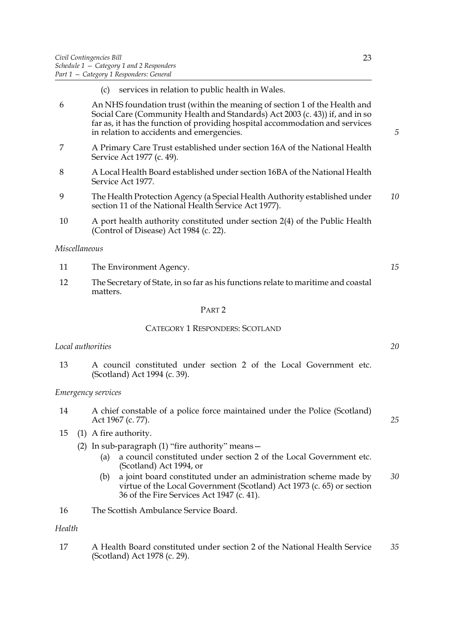(c) services in relation to public health in Wales.

| 6 | An NHS foundation trust (within the meaning of section 1 of the Health and<br>Social Care (Community Health and Standards) Act 2003 (c. 43)) if, and in so<br>far as, it has the function of providing hospital accommodation and services<br>in relation to accidents and emergencies. |
|---|-----------------------------------------------------------------------------------------------------------------------------------------------------------------------------------------------------------------------------------------------------------------------------------------|
| 7 | A Primary Care Trust established under section 16A of the National Health                                                                                                                                                                                                               |

- Service Act 1977 (c. 49).
- 8 A Local Health Board established under section 16BA of the National Health Service Act 1977.
- 9 The Health Protection Agency (a Special Health Authority established under section 11 of the National Health Service Act 1977). *10*
- 10 A port health authority constituted under section 2(4) of the Public Health (Control of Disease) Act 1984 (c. 22).

#### *Miscellaneous*

- 11 The Environment Agency.
- 12 The Secretary of State, in so far as his functions relate to maritime and coastal matters.

#### PART 2

#### CATEGORY 1 RESPONDERS: SCOTLAND

#### *Local authorities*

13 A council constituted under section 2 of the Local Government etc. (Scotland) Act 1994 (c. 39).

#### *Emergency services*

14 A chief constable of a police force maintained under the Police (Scotland) Act 1967 (c. 77).

#### 15 (1) A fire authority.

- (2) In sub-paragraph (1) "fire authority" means—
	- (a) a council constituted under section 2 of the Local Government etc. (Scotland) Act 1994, or
	- (b) a joint board constituted under an administration scheme made by virtue of the Local Government (Scotland) Act 1973 (c. 65) or section 36 of the Fire Services Act 1947 (c. 41). *30*
- 16 The Scottish Ambulance Service Board.

#### *Health*

17 A Health Board constituted under section 2 of the National Health Service (Scotland) Act 1978 (c. 29). *35*

*5*

*20*

*15*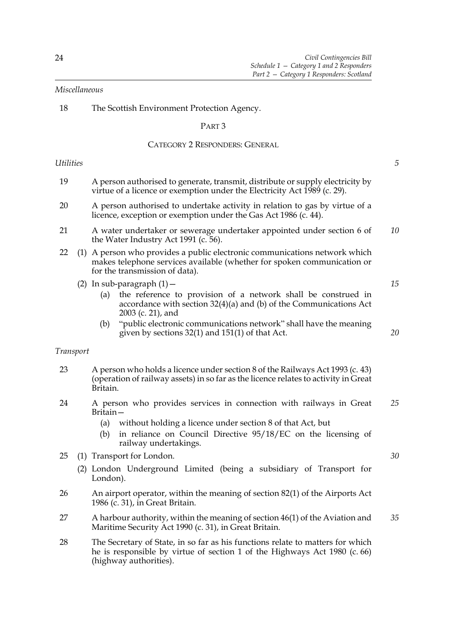*5*

# *Miscellaneous*

| 18 | The Scottish Environment Protection Agency. |
|----|---------------------------------------------|
|----|---------------------------------------------|

### PART 3

#### CATEGORY 2 RESPONDERS: GENERAL

# *Utilities*

| 19        |                                                                                                                                                                                       | A person authorised to generate, transmit, distribute or supply electricity by<br>virtue of a licence or exemption under the Electricity Act 1989 (c. 29).                                        |    |  |
|-----------|---------------------------------------------------------------------------------------------------------------------------------------------------------------------------------------|---------------------------------------------------------------------------------------------------------------------------------------------------------------------------------------------------|----|--|
| 20        |                                                                                                                                                                                       | A person authorised to undertake activity in relation to gas by virtue of a<br>licence, exception or exemption under the Gas Act 1986 (c. 44).                                                    |    |  |
| 21        |                                                                                                                                                                                       | A water undertaker or sewerage undertaker appointed under section 6 of<br>the Water Industry Act 1991 (c. 56).                                                                                    |    |  |
| 22        |                                                                                                                                                                                       | (1) A person who provides a public electronic communications network which<br>makes telephone services available (whether for spoken communication or<br>for the transmission of data).           |    |  |
|           |                                                                                                                                                                                       | (2) In sub-paragraph $(1)$ -<br>the reference to provision of a network shall be construed in<br>(a)<br>accordance with section $32(4)(a)$ and (b) of the Communications Act<br>2003 (c. 21), and | 15 |  |
|           |                                                                                                                                                                                       | "public electronic communications network" shall have the meaning<br>(b)<br>given by sections $32(1)$ and $151(1)$ of that Act.                                                                   | 20 |  |
| Transport |                                                                                                                                                                                       |                                                                                                                                                                                                   |    |  |
| 23        |                                                                                                                                                                                       | A person who holds a licence under section 8 of the Railways Act 1993 (c. 43)<br>(operation of railway assets) in so far as the licence relates to activity in Great<br>Britain.                  |    |  |
| 24        |                                                                                                                                                                                       | A person who provides services in connection with railways in Great<br>Britain-                                                                                                                   | 25 |  |
|           |                                                                                                                                                                                       | without holding a licence under section 8 of that Act, but<br>(a)<br>in reliance on Council Directive 95/18/EC on the licensing of<br>(b)<br>railway undertakings.                                |    |  |
| 25        |                                                                                                                                                                                       | (1) Transport for London.                                                                                                                                                                         | 30 |  |
|           |                                                                                                                                                                                       | (2) London Underground Limited (being a subsidiary of Transport for<br>London).                                                                                                                   |    |  |
| 26        |                                                                                                                                                                                       | An airport operator, within the meaning of section 82(1) of the Airports Act<br>1986 (c. 31), in Great Britain.                                                                                   |    |  |
| 27        |                                                                                                                                                                                       | A harbour authority, within the meaning of section 46(1) of the Aviation and<br>Maritime Security Act 1990 (c. 31), in Great Britain.                                                             |    |  |
| 28        | The Secretary of State, in so far as his functions relate to matters for which<br>he is responsible by virtue of section 1 of the Highways Act 1980 (c. 66)<br>(highway authorities). |                                                                                                                                                                                                   |    |  |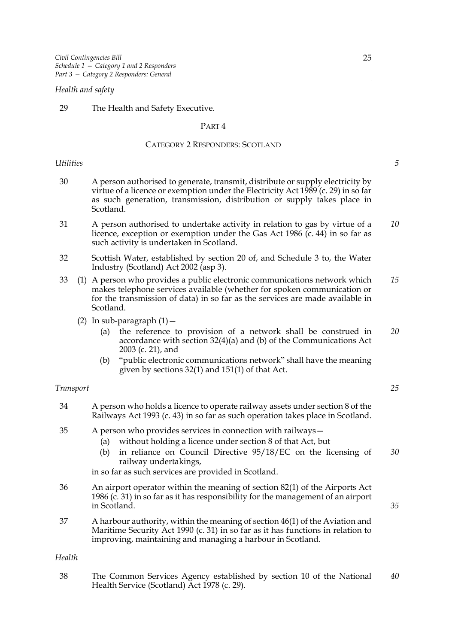#### *Health and safety*

29 The Health and Safety Executive.

#### PART 4

#### CATEGORY 2 RESPONDERS: SCOTLAND

#### *Utilities*

- 30 A person authorised to generate, transmit, distribute or supply electricity by virtue of a licence or exemption under the Electricity Act 1989 (c. 29) in so far as such generation, transmission, distribution or supply takes place in Scotland.
- 31 A person authorised to undertake activity in relation to gas by virtue of a licence, exception or exemption under the Gas Act 1986  $(c. 44)$  in so far as such activity is undertaken in Scotland. *10*
- 32 Scottish Water, established by section 20 of, and Schedule 3 to, the Water Industry (Scotland) Act 2002 (asp 3).
- 33 (1) A person who provides a public electronic communications network which makes telephone services available (whether for spoken communication or for the transmission of data) in so far as the services are made available in Scotland. *15*
	- (2) In sub-paragraph  $(1)$  -
		- (a) the reference to provision of a network shall be construed in accordance with section 32(4)(a) and (b) of the Communications Act 2003 (c. 21), and *20*
		- (b) "public electronic communications network" shall have the meaning given by sections 32(1) and 151(1) of that Act.

#### *Transport*

- 34 A person who holds a licence to operate railway assets under section 8 of the Railways Act 1993 (c. 43) in so far as such operation takes place in Scotland.
- 35 A person who provides services in connection with railways—
	- (a) without holding a licence under section 8 of that Act, but
	- (b) in reliance on Council Directive 95/18/EC on the licensing of railway undertakings, *30*

in so far as such services are provided in Scotland.

- 36 An airport operator within the meaning of section 82(1) of the Airports Act 1986 (c. 31) in so far as it has responsibility for the management of an airport in Scotland.
- 37 A harbour authority, within the meaning of section 46(1) of the Aviation and Maritime Security Act 1990 (c. 31) in so far as it has functions in relation to improving, maintaining and managing a harbour in Scotland.

#### *Health*

38 The Common Services Agency established by section 10 of the National Health Service (Scotland) Act 1978 (c. 29). *40*

*5*

*35*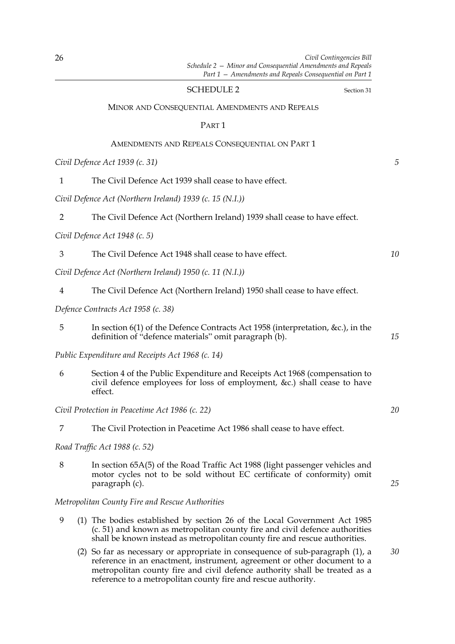#### SCHEDULE 2 Section 31

#### MINOR AND CONSEQUENTIAL AMENDMENTS AND REPEALS

#### PART 1

#### AMENDMENTS AND REPEALS CONSEQUENTIAL ON PART 1

*Civil Defence Act 1939 (c. 31)*

1 The Civil Defence Act 1939 shall cease to have effect.

*Civil Defence Act (Northern Ireland) 1939 (c. 15 (N.I.))*

2 The Civil Defence Act (Northern Ireland) 1939 shall cease to have effect.

*Civil Defence Act 1948 (c. 5)*

3 The Civil Defence Act 1948 shall cease to have effect.

*Civil Defence Act (Northern Ireland) 1950 (c. 11 (N.I.))*

4 The Civil Defence Act (Northern Ireland) 1950 shall cease to have effect.

*Defence Contracts Act 1958 (c. 38)*

5 In section 6(1) of the Defence Contracts Act 1958 (interpretation, &c.), in the definition of "defence materials" omit paragraph (b).

*Public Expenditure and Receipts Act 1968 (c. 14)*

6 Section 4 of the Public Expenditure and Receipts Act 1968 (compensation to civil defence employees for loss of employment, &c.) shall cease to have effect.

*Civil Protection in Peacetime Act 1986 (c. 22)*

*Road Traffic Act 1988 (c. 52)*

8 In section 65A(5) of the Road Traffic Act 1988 (light passenger vehicles and motor cycles not to be sold without EC certificate of conformity) omit paragraph (c).

*Metropolitan County Fire and Rescue Authorities*

- 9 (1) The bodies established by section 26 of the Local Government Act 1985 (c. 51) and known as metropolitan county fire and civil defence authorities shall be known instead as metropolitan county fire and rescue authorities.
	- (2) So far as necessary or appropriate in consequence of sub-paragraph (1), a reference in an enactment, instrument, agreement or other document to a metropolitan county fire and civil defence authority shall be treated as a reference to a metropolitan county fire and rescue authority.

*15*

*5*

*10*

*20*

*25*

<sup>7</sup> The Civil Protection in Peacetime Act 1986 shall cease to have effect.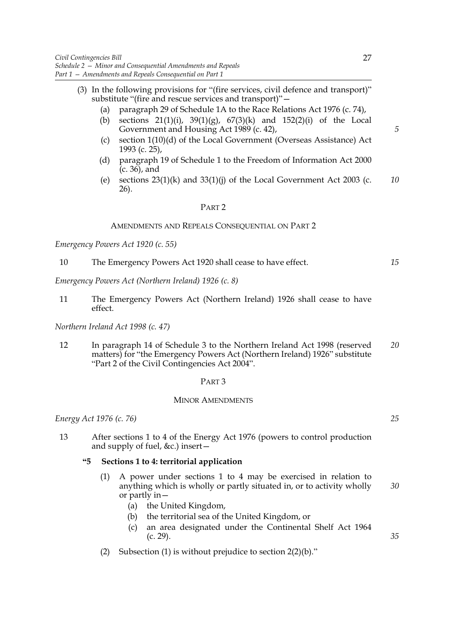- (3) In the following provisions for "(fire services, civil defence and transport)" substitute "(fire and rescue services and transport)"—
	- (a) paragraph 29 of Schedule 1A to the Race Relations Act 1976 (c. 74),
	- (b) sections  $21(1)(i)$ ,  $39(1)(g)$ ,  $67(3)(k)$  and  $152(2)(i)$  of the Local Government and Housing Act 1989 (c. 42),
	- (c) section 1(10)(d) of the Local Government (Overseas Assistance) Act 1993 (c. 25),
	- (d) paragraph 19 of Schedule 1 to the Freedom of Information Act 2000 (c. 36), and
	- (e) sections  $23(1)(k)$  and  $33(1)(j)$  of the Local Government Act 2003 (c. 26). *10*

#### PART 2

#### AMENDMENTS AND REPEALS CONSEQUENTIAL ON PART 2

*Emergency Powers Act 1920 (c. 55)*

10 The Emergency Powers Act 1920 shall cease to have effect.

*Emergency Powers Act (Northern Ireland) 1926 (c. 8)*

11 The Emergency Powers Act (Northern Ireland) 1926 shall cease to have effect.

*Northern Ireland Act 1998 (c. 47)*

12 In paragraph 14 of Schedule 3 to the Northern Ireland Act 1998 (reserved matters) for "the Emergency Powers Act (Northern Ireland) 1926" substitute "Part 2 of the Civil Contingencies Act 2004". *20*

#### PART 3

#### MINOR AMENDMENTS

*Energy Act 1976 (c. 76)*

13 After sections 1 to 4 of the Energy Act 1976 (powers to control production and supply of fuel, &c.) insert—

#### **"5 Sections 1 to 4: territorial application**

- (1) A power under sections 1 to 4 may be exercised in relation to anything which is wholly or partly situated in, or to activity wholly or partly in— *30*
	- (a) the United Kingdom,
	- (b) the territorial sea of the United Kingdom, or
	- (c) an area designated under the Continental Shelf Act 1964 (c. 29).
- (2) Subsection (1) is without prejudice to section  $2(2)(b)$ ."

*25*

*15*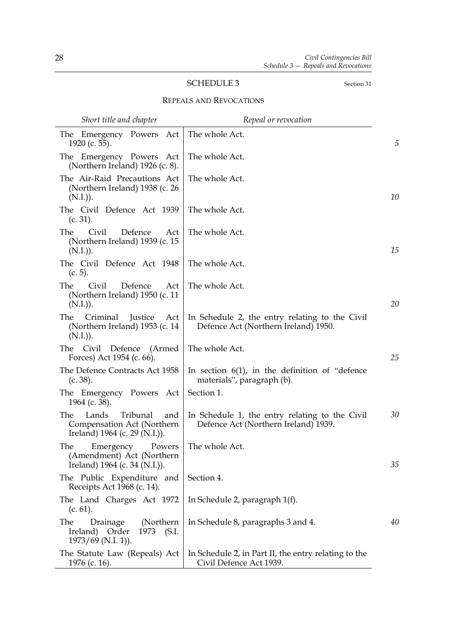# SCHEDULE 3 Section 31

# REPEALS AND REVOCATIONS

| Short title and chapter                                                                        | Repeal or revocation                                                                         |
|------------------------------------------------------------------------------------------------|----------------------------------------------------------------------------------------------|
| The Emergency Powers Act<br>1920 (c. 55).                                                      | The whole Act.<br>5                                                                          |
| The Emergency Powers Act<br>(Northern Ireland) 1926 (c. 8).                                    | The whole Act.                                                                               |
| The Air-Raid Precautions Act<br>(Northern Ireland) 1938 (c. 26<br>(N.I.).                      | The whole Act.<br>10                                                                         |
| The Civil Defence Act 1939<br>(c. 31).                                                         | The whole Act.                                                                               |
| The<br>Civil<br>Defence<br>Act<br>(Northern Ireland) 1939 (c. 15<br>(N.I.).                    | The whole Act.<br>15                                                                         |
| The Civil Defence Act 1948<br>(c. 5).                                                          | The whole Act.                                                                               |
| Defence<br>The<br>Civil<br>Act<br>(Northern Ireland) 1950 (c. 11<br>(N.I.).                    | The whole Act.<br>20                                                                         |
| The<br>Criminal<br>Justice<br>Act<br>(Northern Ireland) 1953 (c. 14<br>(N.I.).                 | In Schedule 2, the entry relating to the Civil<br>Defence Act (Northern Ireland) 1950.       |
| The Civil Defence<br>(Armed<br>Forces) Act 1954 (c. 66).                                       | The whole Act.<br>25                                                                         |
| The Defence Contracts Act 1958<br>(c. 38).                                                     | In section $6(1)$ , in the definition of "defence"<br>materials", paragraph (b).             |
| The Emergency Powers Act<br>1964 (c. 38).                                                      | Section 1.                                                                                   |
| The<br>Lands<br>Tribunal<br>and<br>Compensation Act (Northern<br>Ireland) 1964 (c. 29 (N.I.)). | 30<br>In Schedule 1, the entry relating to the Civil<br>Defence Act (Northern Ireland) 1939. |
| Emergency<br>Powers<br>The<br>(Amendment) Act (Northern<br>Ireland) 1964 (c. 34 (N.I.)).       | The whole Act.<br>35                                                                         |
| The Public Expenditure and<br>Receipts Act 1968 (c. 14).                                       | Section 4.                                                                                   |
| The Land Charges Act 1972<br>$(c. 61)$ .                                                       | In Schedule 2, paragraph $1(f)$ .                                                            |
| The<br>Drainage<br>(Northern)<br>Ireland) Order<br>(S.I.<br>1973<br>$1973/69$ (N.I. 1)).       | 40<br>In Schedule 8, paragraphs 3 and 4.                                                     |
| The Statute Law (Repeals) Act<br>1976 (c. 16).                                                 | In Schedule 2, in Part II, the entry relating to the<br>Civil Defence Act 1939.              |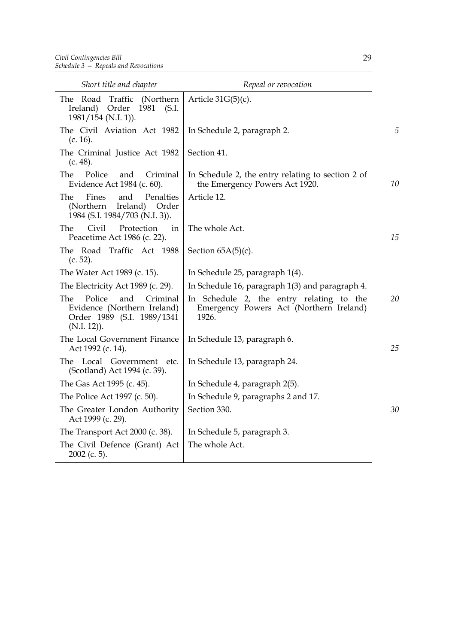| Short title and chapter                                                                                          | Repeal or revocation                                                                               |
|------------------------------------------------------------------------------------------------------------------|----------------------------------------------------------------------------------------------------|
| Road<br>Traffic (Northern<br>The<br>Ireland)<br>Order 1981<br>(S.I.<br>1981/154 (N.I. 1)).                       | Article $31G(5)(c)$ .                                                                              |
| The Civil Aviation Act 1982<br>(c. 16).                                                                          | 5<br>In Schedule 2, paragraph 2.                                                                   |
| The Criminal Justice Act 1982<br>(c. 48).                                                                        | Section 41.                                                                                        |
| The<br>Police<br>and<br>Criminal<br>Evidence Act 1984 (c. 60).                                                   | In Schedule 2, the entry relating to section 2 of<br>10<br>the Emergency Powers Act 1920.          |
| The<br>Fines<br>and<br>Penalties<br>(Northern<br>Ireland)<br>Order<br>1984 (S.I. 1984/703 (N.I. 3)).             | Article 12.                                                                                        |
| The<br>Civil<br>Protection<br>in<br>Peacetime Act 1986 (c. 22).                                                  | The whole Act.<br>15                                                                               |
| The Road Traffic Act 1988<br>(c. 52).                                                                            | Section $65A(5)(c)$ .                                                                              |
| The Water Act 1989 (c. 15).                                                                                      | In Schedule 25, paragraph 1(4).                                                                    |
| The Electricity Act 1989 (c. 29).                                                                                | In Schedule 16, paragraph 1(3) and paragraph 4.                                                    |
| The<br>Police<br>and<br>Criminal<br>Evidence (Northern Ireland)<br>Order 1989 (S.I. 1989/1341)<br>$(N.I. 12)$ ). | 20<br>In Schedule 2, the entry relating to the<br>Emergency Powers Act (Northern Ireland)<br>1926. |
| The Local Government Finance<br>Act 1992 (c. 14).                                                                | In Schedule 13, paragraph 6.<br>25                                                                 |
| The Local Government<br>etc.<br>(Scotland) Act 1994 (c. 39).                                                     | In Schedule 13, paragraph 24.                                                                      |
| The Gas Act 1995 (c. 45).                                                                                        | In Schedule 4, paragraph 2(5).                                                                     |
| The Police Act 1997 (c. 50).                                                                                     | In Schedule 9, paragraphs 2 and 17.                                                                |
| The Greater London Authority<br>Act 1999 (c. 29).                                                                | 30<br>Section 330.                                                                                 |
| The Transport Act 2000 (c. 38).                                                                                  | In Schedule 5, paragraph 3.                                                                        |
| The Civil Defence (Grant) Act<br>$2002$ (c. 5).                                                                  | The whole Act.                                                                                     |